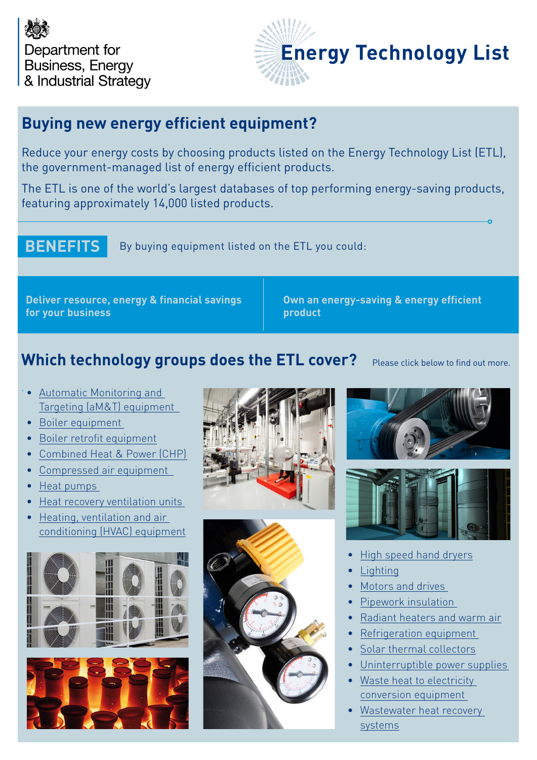



### **Buying new energy efficient equipment?**

Reduce your energy costs by choosing products listed on the Energy Technology List (ETL), the government-managed list of energy efficient products.

The ETL is one of the world's largest databases of top performing energy-saving products, featuring approximately 14,000 listed products.

**BENEFITS** By buying equipment listed on the ETL you could:

**Deliver resource, energy & financial savings for your business**

**Own an energy-saving & energy efficient product**

### **Which technology groups does the ETL cover?**

Please click below to find out more.

- [Automatic Monitoring](https://etl.beis.gov.uk/products/automatic-monitoring-targeting-amt) and [Targeting \(aM&T\) equipment](https://etl.beis.gov.uk/products/automatic-monitoring-targeting-amt)
- [Boiler equipment](https://etl.beis.gov.uk/products/boiler-retrofit-equipment)
- [Boiler retrofit equipment](https://etl.beis.gov.uk/products/boiler-retrofit-equipment)
- [Combined Heat & Power \(CHP\)](https://etl.beis.gov.uk/products/combined-heat-power-chp)
- [Compressed air equipment](https://etl.beis.gov.uk/products/compressed-air-equipment)
- [Heat pumps](https://etl.beis.gov.uk/products/heat-pumps)
- [Heat recovery ventilation units](https://etl.beis.gov.uk/products/heat-recovery-ventilation-units)
- **Heating, ventilation and air** [conditioning \(HVAC\) equipment](https://etl.beis.gov.uk/products/heating-ventilation-air-conditioning-hvac)













- [High speed hand dryers](https://etl.beis.gov.uk/products/high-speed-hand-air-dryers)
- **[Lighting](https://etl.beis.gov.uk/products/lighting)**
- [Motors and drives](https://etl.beis.gov.uk/products/motors-drives)
- [Pipework insulation](https://etl.beis.gov.uk/products/pipework-insulation)
- Radiant heaters and warm air
- [Refrigeration equipment](https://etl.beis.gov.uk/products/refrigeration-equipment)
- [Solar thermal collectors](https://etl.beis.gov.uk/products/solar-thermal-systems-collectors)
- [Uninterruptible power supplies](https://etl.beis.gov.uk/products/uninterruptible-power-supplies)
- [Waste heat to electricity](https://etl.beis.gov.uk/products/waste-heat-electricity-conversion-equipment)  [conversion equipment](https://etl.beis.gov.uk/products/waste-heat-electricity-conversion-equipment)
- [Wastewater heat recovery](https://etl.beis.gov.uk/products/wastewater-heat-recovery-systems)  [systems](https://etl.beis.gov.uk/products/wastewater-heat-recovery-systems)